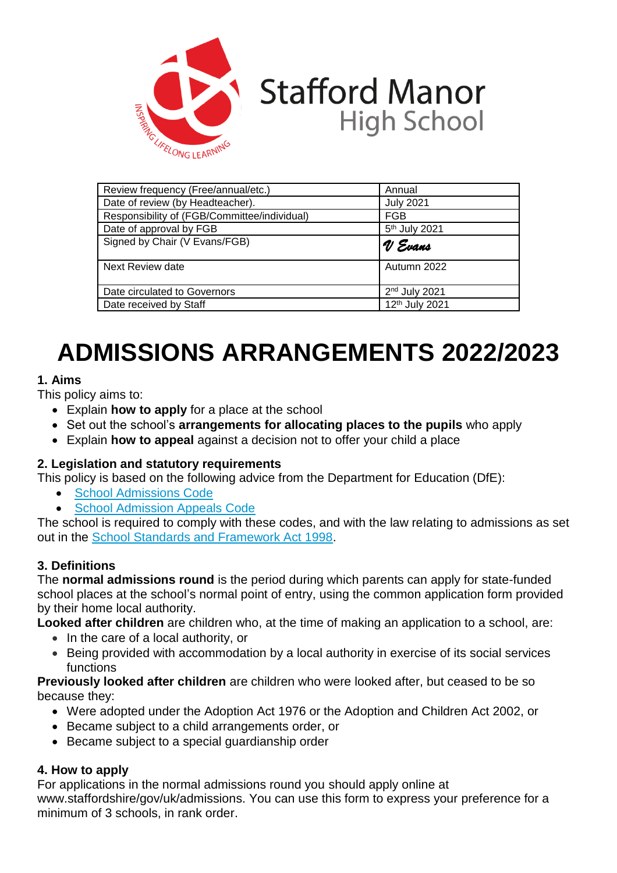

# **Stafford Manor High School**

| Review frequency (Free/annual/etc.)          | Annual                    |  |
|----------------------------------------------|---------------------------|--|
| Date of review (by Headteacher).             | <b>July 2021</b>          |  |
| Responsibility of (FGB/Committee/individual) | <b>FGB</b>                |  |
| Date of approval by FGB                      | 5 <sup>th</sup> July 2021 |  |
| Signed by Chair (V Evans/FGB)                | V Evans                   |  |
|                                              |                           |  |
| Next Review date                             | Autumn 2022               |  |
| Date circulated to Governors                 | 2 <sup>nd</sup> July 2021 |  |
| Date received by Staff                       | 12th July 2021            |  |

# **ADMISSIONS ARRANGEMENTS 2022/2023**

# **1. Aims**

This policy aims to:

- Explain **how to apply** for a place at the school
- Set out the school's **arrangements for allocating places to the pupils** who apply
- Explain **how to appeal** against a decision not to offer your child a place

## **2. Legislation and statutory requirements**

This policy is based on the following advice from the Department for Education (DfE):

- [School Admissions Code](https://www.gov.uk/government/publications/school-admissions-code--2)
- [School Admission Appeals Code](https://www.gov.uk/government/publications/school-admissions-appeals-code)

The school is required to comply with these codes, and with the law relating to admissions as set out in the [School Standards and Framework Act 1998.](http://www.legislation.gov.uk/ukpga/1998/31/contents)

## **3. Definitions**

The **normal admissions round** is the period during which parents can apply for state-funded school places at the school's normal point of entry, using the common application form provided by their home local authority.

**Looked after children** are children who, at the time of making an application to a school, are:

- In the care of a local authority, or
- Being provided with accommodation by a local authority in exercise of its social services functions

#### **Previously looked after children** are children who were looked after, but ceased to be so because they:

- Were adopted under the Adoption Act 1976 or the Adoption and Children Act 2002, or
- Became subject to a child arrangements order, or
- Became subject to a special guardianship order

## **4. How to apply**

For applications in the normal admissions round you should apply online at www.staffordshire/gov/uk/admissions. You can use this form to express your preference for a minimum of 3 schools, in rank order.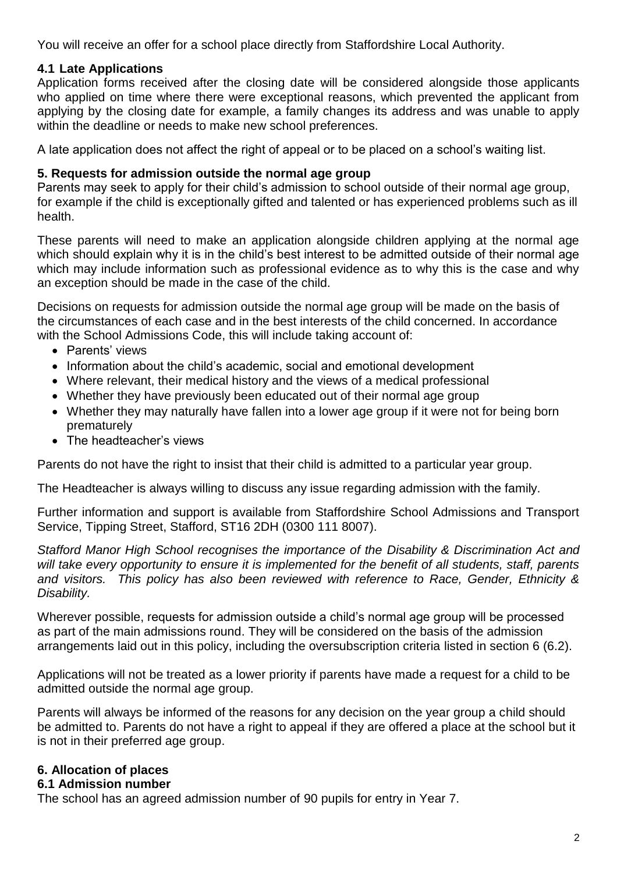You will receive an offer for a school place directly from Staffordshire Local Authority.

## **4.1 Late Applications**

Application forms received after the closing date will be considered alongside those applicants who applied on time where there were exceptional reasons, which prevented the applicant from applying by the closing date for example, a family changes its address and was unable to apply within the deadline or needs to make new school preferences.

A late application does not affect the right of appeal or to be placed on a school's waiting list.

#### **5. Requests for admission outside the normal age group**

Parents may seek to apply for their child's admission to school outside of their normal age group, for example if the child is exceptionally gifted and talented or has experienced problems such as ill health.

These parents will need to make an application alongside children applying at the normal age which should explain why it is in the child's best interest to be admitted outside of their normal age which may include information such as professional evidence as to why this is the case and why an exception should be made in the case of the child.

Decisions on requests for admission outside the normal age group will be made on the basis of the circumstances of each case and in the best interests of the child concerned. In accordance with the School Admissions Code, this will include taking account of:

- Parents' views
- Information about the child's academic, social and emotional development
- Where relevant, their medical history and the views of a medical professional
- Whether they have previously been educated out of their normal age group
- Whether they may naturally have fallen into a lower age group if it were not for being born prematurely
- The headteacher's views

Parents do not have the right to insist that their child is admitted to a particular year group.

The Headteacher is always willing to discuss any issue regarding admission with the family.

Further information and support is available from Staffordshire School Admissions and Transport Service, Tipping Street, Stafford, ST16 2DH (0300 111 8007).

*Stafford Manor High School recognises the importance of the Disability & Discrimination Act and will take every opportunity to ensure it is implemented for the benefit of all students, staff, parents and visitors. This policy has also been reviewed with reference to Race, Gender, Ethnicity & Disability.*

Wherever possible, requests for admission outside a child's normal age group will be processed as part of the main admissions round. They will be considered on the basis of the admission arrangements laid out in this policy, including the oversubscription criteria listed in section 6 (6.2).

Applications will not be treated as a lower priority if parents have made a request for a child to be admitted outside the normal age group.

Parents will always be informed of the reasons for any decision on the year group a child should be admitted to. Parents do not have a right to appeal if they are offered a place at the school but it is not in their preferred age group.

## **6. Allocation of places**

#### **6.1 Admission number**

The school has an agreed admission number of 90 pupils for entry in Year 7.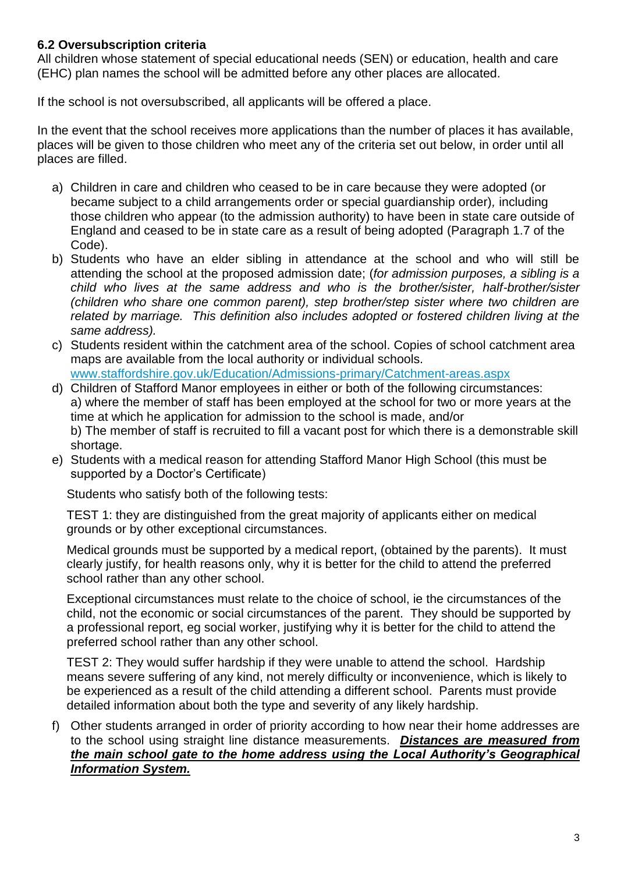## **6.2 Oversubscription criteria**

All children whose statement of special educational needs (SEN) or education, health and care (EHC) plan names the school will be admitted before any other places are allocated.

If the school is not oversubscribed, all applicants will be offered a place.

In the event that the school receives more applications than the number of places it has available, places will be given to those children who meet any of the criteria set out below, in order until all places are filled.

- a) Children in care and children who ceased to be in care because they were adopted (or became subject to a child arrangements order or special guardianship order)*,* including those children who appear (to the admission authority) to have been in state care outside of England and ceased to be in state care as a result of being adopted (Paragraph 1.7 of the Code).
- b) Students who have an elder sibling in attendance at the school and who will still be attending the school at the proposed admission date; (*for admission purposes, a sibling is a child who lives at the same address and who is the brother/sister, half-brother/sister (children who share one common parent), step brother/step sister where two children are related by marriage. This definition also includes adopted or fostered children living at the same address).*
- c) Students resident within the catchment area of the school. Copies of school catchment area maps are available from the local authority or individual schools. [www.staffordshire.gov.uk/Education/Admissions-primary/Catchment-areas.aspx](http://www.staffordshire.gov.uk/Education/Admissions-primary/Catchment-areas.aspx)
- d) Children of Stafford Manor employees in either or both of the following circumstances: a) where the member of staff has been employed at the school for two or more years at the time at which he application for admission to the school is made, and/or b) The member of staff is recruited to fill a vacant post for which there is a demonstrable skill shortage.
- e) Students with a medical reason for attending Stafford Manor High School (this must be supported by a Doctor's Certificate)

Students who satisfy both of the following tests:

TEST 1: they are distinguished from the great majority of applicants either on medical grounds or by other exceptional circumstances.

Medical grounds must be supported by a medical report, (obtained by the parents). It must clearly justify, for health reasons only, why it is better for the child to attend the preferred school rather than any other school.

Exceptional circumstances must relate to the choice of school, ie the circumstances of the child, not the economic or social circumstances of the parent. They should be supported by a professional report, eg social worker, justifying why it is better for the child to attend the preferred school rather than any other school.

TEST 2: They would suffer hardship if they were unable to attend the school. Hardship means severe suffering of any kind, not merely difficulty or inconvenience, which is likely to be experienced as a result of the child attending a different school. Parents must provide detailed information about both the type and severity of any likely hardship.

f) Other students arranged in order of priority according to how near their home addresses are to the school using straight line distance measurements. *Distances are measured from the main school gate to the home address using the Local Authority's Geographical Information System.*